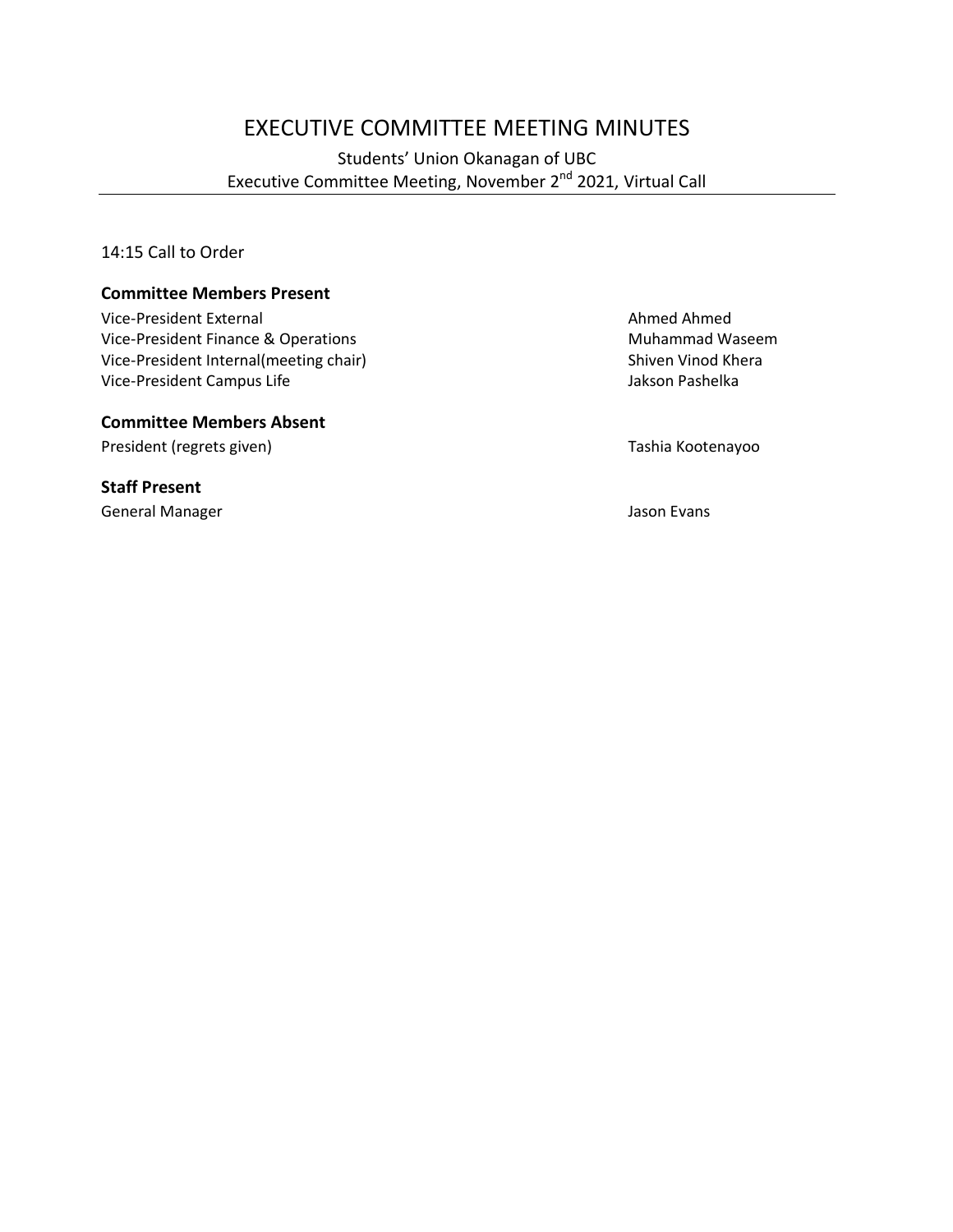# EXECUTIVE COMMITTEE MEETING MINUTES

Students' Union Okanagan of UBC Executive Committee Meeting, November 2nd 2021, Virtual Call

14:15 Call to Order

#### **Committee Members Present**

Vice-President External Ahmed Ahmed Vice-President Finance & Operations<br>
Vice-President Internal(meeting chair) 
Whammad Waseem

Vice-President Internal(meeting chair) Vice-President Internal(meeting chair)<br>
Vice-President Campus Life Shiven Vinod Kheraal Campus Life Shiven Vinod Kheraal Africa Shiven Pashelka Vice-President Campus Life

#### **Committee Members Absent**

President (regrets given) and the content of the Tashia Kootenayoo

#### **Staff Present**

General Manager **Jason Evans** Jason Evans